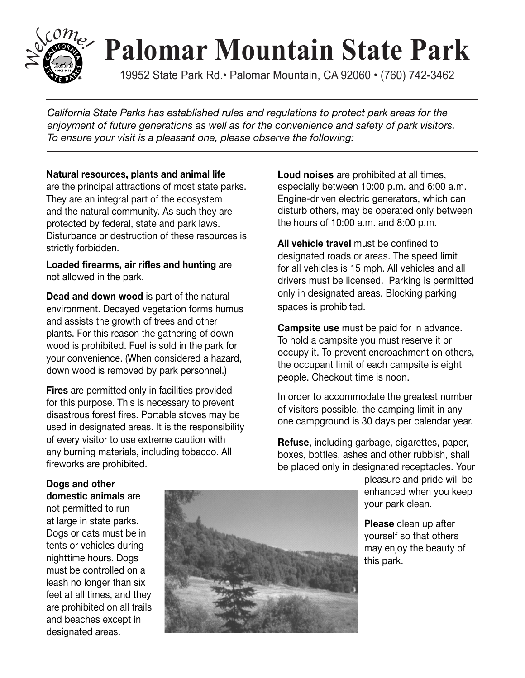

## $\mathbb{P}$  Palomar Mountain State Park

19952 State Park Rd.• Palomar Mountain, CA 92060 • (760) 742-3462

*California State Parks has established rules and regulations to protect park areas for the enjoyment of future generations as well as for the convenience and safety of park visitors. To ensure your visit is a pleasant one, please observe the following:* 

## **Natural resources, plants and animal life**

 are the principal attractions of most state parks. They are an integral part of the ecosystem and the natural community. As such they are protected by federal, state and park laws. Disturbance or destruction of these resources is strictly forbidden.

 **Loaded firearms, air rifles and hunting** are not allowed in the park.

 **Dead and down wood** is part of the natural environment. Decayed vegetation forms humus and assists the growth of trees and other plants. For this reason the gathering of down wood is prohibited. Fuel is sold in the park for your convenience. (When considered a hazard, down wood is removed by park personnel.)

 **Fires** are permitted only in facilities provided for this purpose. This is necessary to prevent disastrous forest fires. Portable stoves may be used in designated areas. It is the responsibility of every visitor to use extreme caution with any burning materials, including tobacco. All fireworks are prohibited.

 **Loud noises** are prohibited at all times, especially between 10:00 p.m. and 6:00 a.m. Engine-driven electric generators, which can disturb others, may be operated only between the hours of 10:00 a.m. and 8:00 p.m.

 **All vehicle travel** must be confined to designated roads or areas. The speed limit for all vehicles is 15 mph. All vehicles and all drivers must be licensed. Parking is permitted only in designated areas. Blocking parking spaces is prohibited.

 **Campsite use** must be paid for in advance. To hold a campsite you must reserve it or occupy it. To prevent encroachment on others, the occupant limit of each campsite is eight people. Checkout time is noon.

 In order to accommodate the greatest number of visitors possible, the camping limit in any one campground is 30 days per calendar year.

 **Refuse**, including garbage, cigarettes, paper, boxes, bottles, ashes and other rubbish, shall be placed only in designated receptacles. Your

> pleasure and pride will be your park clean.

## **Dogs and other**

at large in state parks. Dogs or cats must be in tents or vehicles during must be controlled on a leash no longer than six feet at all times, and they are prohibited on all trails and beaches except in designated areas.